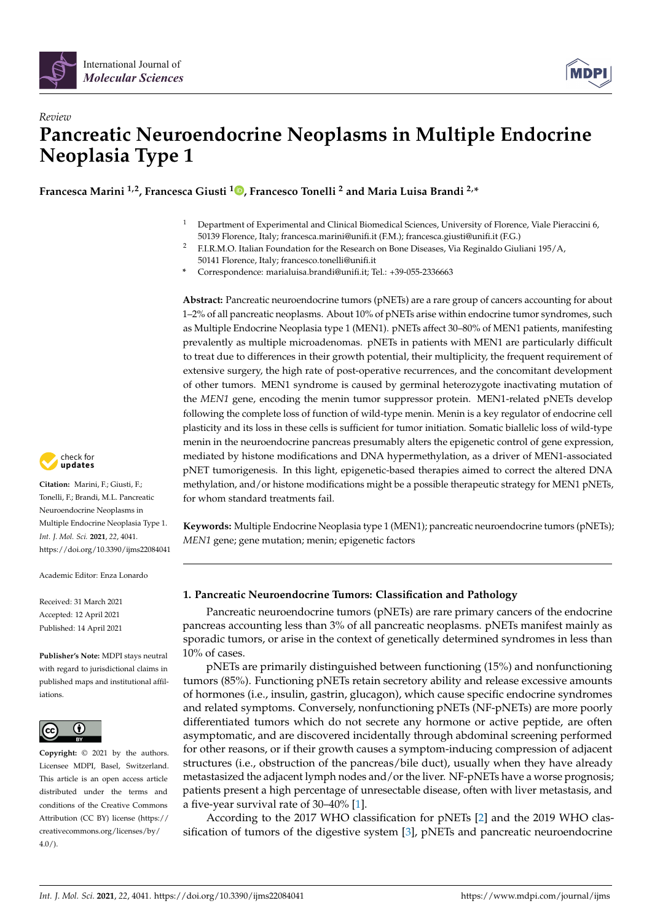



# *Review* **Pancreatic Neuroendocrine Neoplasms in Multiple Endocrine Neoplasia Type 1**

**Francesca Marini 1,2, Francesca Giusti <sup>1</sup> [,](https://orcid.org/0000-0002-8576-9606) Francesco Tonelli <sup>2</sup> and Maria Luisa Brandi 2,\***

- <sup>1</sup> Department of Experimental and Clinical Biomedical Sciences, University of Florence, Viale Pieraccini 6, 50139 Florence, Italy; francesca.marini@unifi.it (F.M.); francesca.giusti@unifi.it (F.G.)
- <sup>2</sup> F.I.R.M.O. Italian Foundation for the Research on Bone Diseases, Via Reginaldo Giuliani 195/A, 50141 Florence, Italy; francesco.tonelli@unifi.it
- **\*** Correspondence: marialuisa.brandi@unifi.it; Tel.: +39-055-2336663

**Abstract:** Pancreatic neuroendocrine tumors (pNETs) are a rare group of cancers accounting for about 1–2% of all pancreatic neoplasms. About 10% of pNETs arise within endocrine tumor syndromes, such as Multiple Endocrine Neoplasia type 1 (MEN1). pNETs affect 30–80% of MEN1 patients, manifesting prevalently as multiple microadenomas. pNETs in patients with MEN1 are particularly difficult to treat due to differences in their growth potential, their multiplicity, the frequent requirement of extensive surgery, the high rate of post-operative recurrences, and the concomitant development of other tumors. MEN1 syndrome is caused by germinal heterozygote inactivating mutation of the *MEN1* gene, encoding the menin tumor suppressor protein. MEN1-related pNETs develop following the complete loss of function of wild-type menin. Menin is a key regulator of endocrine cell plasticity and its loss in these cells is sufficient for tumor initiation. Somatic biallelic loss of wild-type menin in the neuroendocrine pancreas presumably alters the epigenetic control of gene expression, mediated by histone modifications and DNA hypermethylation, as a driver of MEN1-associated pNET tumorigenesis. In this light, epigenetic-based therapies aimed to correct the altered DNA methylation, and/or histone modifications might be a possible therapeutic strategy for MEN1 pNETs, for whom standard treatments fail.

**Keywords:** Multiple Endocrine Neoplasia type 1 (MEN1); pancreatic neuroendocrine tumors (pNETs); *MEN1* gene; gene mutation; menin; epigenetic factors

# **1. Pancreatic Neuroendocrine Tumors: Classification and Pathology**

Pancreatic neuroendocrine tumors (pNETs) are rare primary cancers of the endocrine pancreas accounting less than 3% of all pancreatic neoplasms. pNETs manifest mainly as sporadic tumors, or arise in the context of genetically determined syndromes in less than 10% of cases.

pNETs are primarily distinguished between functioning (15%) and nonfunctioning tumors (85%). Functioning pNETs retain secretory ability and release excessive amounts of hormones (i.e., insulin, gastrin, glucagon), which cause specific endocrine syndromes and related symptoms. Conversely, nonfunctioning pNETs (NF-pNETs) are more poorly differentiated tumors which do not secrete any hormone or active peptide, are often asymptomatic, and are discovered incidentally through abdominal screening performed for other reasons, or if their growth causes a symptom-inducing compression of adjacent structures (i.e., obstruction of the pancreas/bile duct), usually when they have already metastasized the adjacent lymph nodes and/or the liver. NF-pNETs have a worse prognosis; patients present a high percentage of unresectable disease, often with liver metastasis, and a five-year survival rate of 30–40% [\[1\]](#page-12-0).

According to the 2017 WHO classification for pNETs [\[2\]](#page-12-1) and the 2019 WHO classification of tumors of the digestive system [\[3\]](#page-13-0), pNETs and pancreatic neuroendocrine



**Citation:** Marini, F.; Giusti, F.; Tonelli, F.; Brandi, M.L. Pancreatic Neuroendocrine Neoplasms in Multiple Endocrine Neoplasia Type 1. *Int. J. Mol. Sci.* **2021**, *22*, 4041. <https://doi.org/10.3390/ijms22084041>

Academic Editor: Enza Lonardo

Received: 31 March 2021 Accepted: 12 April 2021 Published: 14 April 2021

**Publisher's Note:** MDPI stays neutral with regard to jurisdictional claims in published maps and institutional affiliations.



**Copyright:** © 2021 by the authors. Licensee MDPI, Basel, Switzerland. This article is an open access article distributed under the terms and conditions of the Creative Commons Attribution (CC BY) license (https:/[/](https://creativecommons.org/licenses/by/4.0/) [creativecommons.org/licenses/by/](https://creativecommons.org/licenses/by/4.0/)  $4.0/$ ).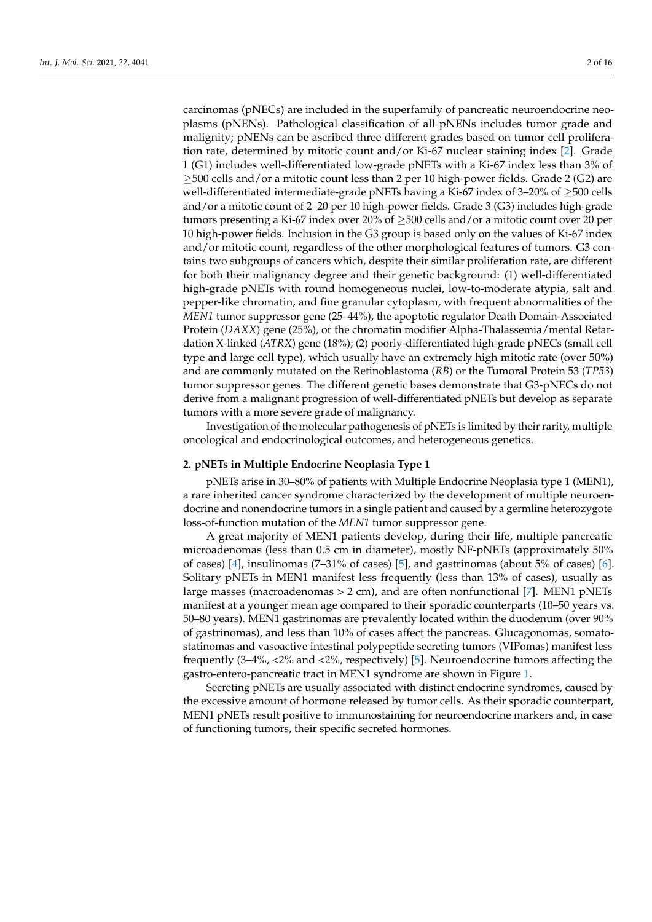carcinomas (pNECs) are included in the superfamily of pancreatic neuroendocrine neoplasms (pNENs). Pathological classification of all pNENs includes tumor grade and malignity; pNENs can be ascribed three different grades based on tumor cell proliferation rate, determined by mitotic count and/or Ki-67 nuclear staining index [\[2\]](#page-12-1). Grade 1 (G1) includes well-differentiated low-grade pNETs with a Ki-67 index less than 3% of  $\geq$ 500 cells and/or a mitotic count less than 2 per 10 high-power fields. Grade 2 (G2) are well-differentiated intermediate-grade pNETs having a Ki-67 index of 3–20% of  $\geq$ 500 cells and/or a mitotic count of 2–20 per 10 high-power fields. Grade 3 (G3) includes high-grade tumors presenting a Ki-67 index over 20% of ≥500 cells and/or a mitotic count over 20 per 10 high-power fields. Inclusion in the G3 group is based only on the values of Ki-67 index and/or mitotic count, regardless of the other morphological features of tumors. G3 contains two subgroups of cancers which, despite their similar proliferation rate, are different for both their malignancy degree and their genetic background: (1) well-differentiated high-grade pNETs with round homogeneous nuclei, low-to-moderate atypia, salt and pepper-like chromatin, and fine granular cytoplasm, with frequent abnormalities of the *MEN1* tumor suppressor gene (25–44%), the apoptotic regulator Death Domain-Associated Protein (*DAXX*) gene (25%), or the chromatin modifier Alpha-Thalassemia/mental Retardation X-linked (*ATRX*) gene (18%); (2) poorly-differentiated high-grade pNECs (small cell type and large cell type), which usually have an extremely high mitotic rate (over 50%) and are commonly mutated on the Retinoblastoma (*RB*) or the Tumoral Protein 53 (*TP53*) tumor suppressor genes. The different genetic bases demonstrate that G3-pNECs do not derive from a malignant progression of well-differentiated pNETs but develop as separate tumors with a more severe grade of malignancy.

Investigation of the molecular pathogenesis of pNETs is limited by their rarity, multiple oncological and endocrinological outcomes, and heterogeneous genetics.

## **2. pNETs in Multiple Endocrine Neoplasia Type 1**

pNETs arise in 30–80% of patients with Multiple Endocrine Neoplasia type 1 (MEN1), a rare inherited cancer syndrome characterized by the development of multiple neuroendocrine and nonendocrine tumors in a single patient and caused by a germline heterozygote loss-of-function mutation of the *MEN1* tumor suppressor gene.

A great majority of MEN1 patients develop, during their life, multiple pancreatic microadenomas (less than 0.5 cm in diameter), mostly NF-pNETs (approximately 50% of cases)  $[4]$ , insulinomas (7–31% of cases)  $[5]$ , and gastrinomas (about 5% of cases)  $[6]$ . Solitary pNETs in MEN1 manifest less frequently (less than 13% of cases), usually as large masses (macroadenomas > 2 cm), and are often nonfunctional [\[7\]](#page-13-4). MEN1 pNETs manifest at a younger mean age compared to their sporadic counterparts (10–50 years vs. 50–80 years). MEN1 gastrinomas are prevalently located within the duodenum (over 90% of gastrinomas), and less than 10% of cases affect the pancreas. Glucagonomas, somatostatinomas and vasoactive intestinal polypeptide secreting tumors (VIPomas) manifest less frequently (3–4%, <2% and <2%, respectively) [\[5\]](#page-13-2). Neuroendocrine tumors affecting the gastro-entero-pancreatic tract in MEN1 syndrome are shown in Figure [1.](#page-2-0)

Secreting pNETs are usually associated with distinct endocrine syndromes, caused by the excessive amount of hormone released by tumor cells. As their sporadic counterpart, MEN1 pNETs result positive to immunostaining for neuroendocrine markers and, in case of functioning tumors, their specific secreted hormones.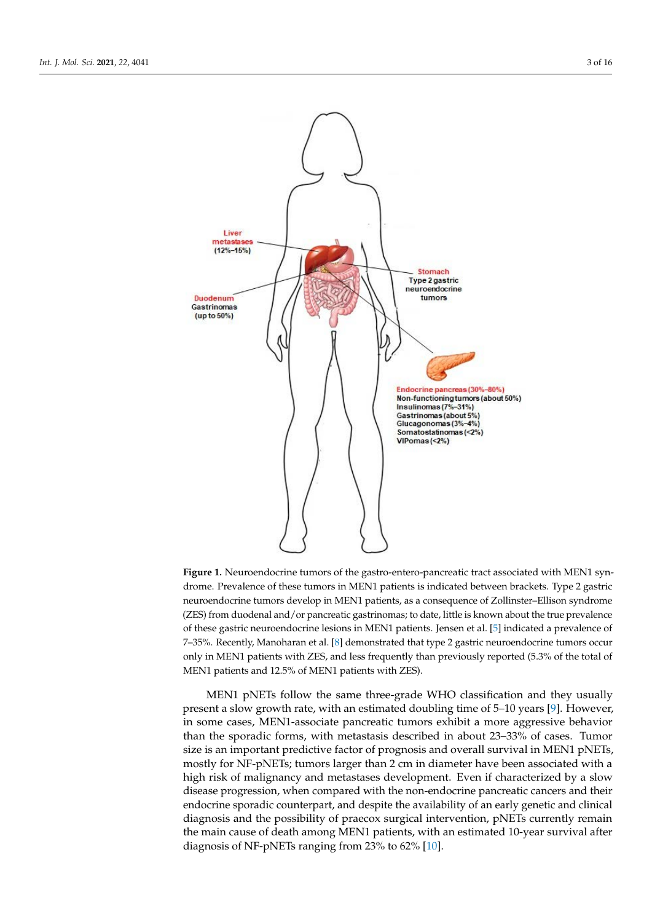<span id="page-2-0"></span>

**Figure 1.** Neuroendocrine tumors of the gastro-entero-pancreatic tract associated with MEN1 syn-**Figure 1.** Neuroendocrine tumors of the gastro-entero-pancreatic tract associated with MEN1 syndrome. Prevalence of these tumors in MEN1 patients is indicated between brackets. Type 2 gastric drome. Prevalence of these tumors in MEN1 patients is indicated between brackets. Type 2 gastric neuroendocrine tumors develop in MEN1 patients, as a consequence of Zollinster–Ellison synneuroendocrine tumors develop in MEN1 patients, as a consequence of Zollinster–Ellison syndrome (ZES) from duodenal and/or pancreatic gastrinomas; to date, little is known about the true prevalence of these gastric neuroendocrine lesions in MEN1 patients. Jensen et al. [\[5\]](#page-13-2) indicated a prevalence of 7–35%. Recently, Manoharan et al. [\[8\]](#page-13-5) demonstrated that type 2 gastric neuroendocrine tumors occur only in MEN1 patients with ZES, and less frequently than previously reported (5.3% of the total of MEN1 patients and 12.5% of MEN1 patients with ZES).

MEN1 pNETs follow the same three-grade WHO classification and they usually present a slow growth rate, with an estimated doubling time of 5–10 years [\[9\]](#page-13-6). However, executive second productions, their executive secretary and in some cases, MEN1-associate pancreatic tumors exhibit a more aggressive behavior<br>in some cases, MEN1-associate pancreatic tumors exhibit a more aggressive behavior than the sporadic forms, with metastasis described in about 23–33% of cases. Tumor size is an important predictive factor of prognosis and overall survival in MEN1 pNETs, mostly for NF-pNETs; tumors larger than 2 cm in diameter have been associated with a high risk of malignancy and metastases development. Even if characterized by a slow disease progression, when compared with the non-endocrine pancreatic cancers and their endocrine sporadic counterpart, and despite the availability of an early genetic and clinical diagnosis and the possibility of praecox surgical intervention, pNETs currently remain the main cause of death among MEN1 patients, with an estimated 10-year survival after diagnosis of NF-pNETs ranging from 23% to 62% [\[10\]](#page-13-7).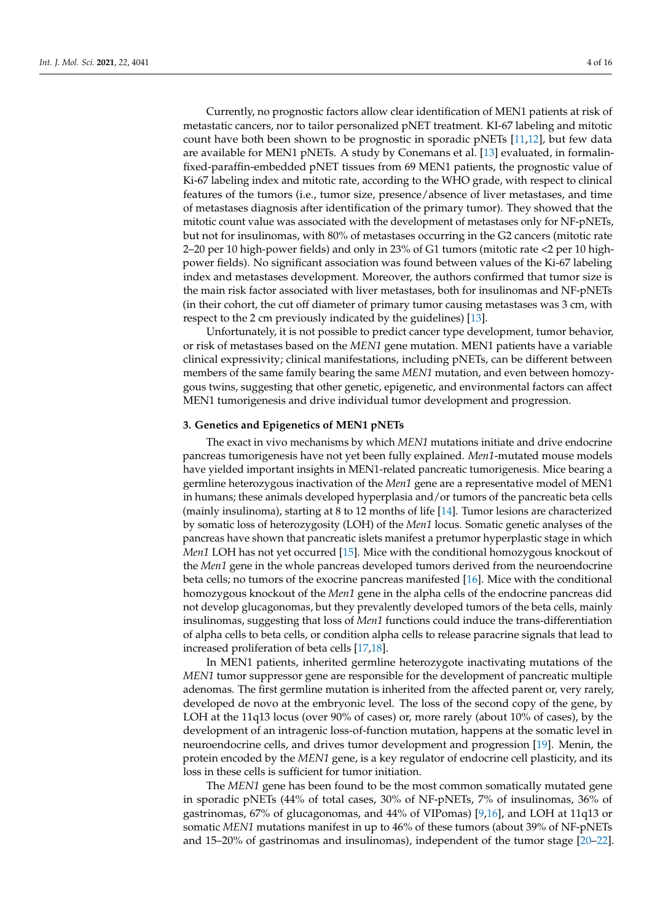Currently, no prognostic factors allow clear identification of MEN1 patients at risk of metastatic cancers, nor to tailor personalized pNET treatment. KI-67 labeling and mitotic count have both been shown to be prognostic in sporadic pNETs [\[11,](#page-13-8)[12\]](#page-13-9), but few data are available for MEN1 pNETs. A study by Conemans et al. [\[13\]](#page-13-10) evaluated, in formalinfixed-paraffin-embedded pNET tissues from 69 MEN1 patients, the prognostic value of Ki-67 labeling index and mitotic rate, according to the WHO grade, with respect to clinical features of the tumors (i.e., tumor size, presence/absence of liver metastases, and time of metastases diagnosis after identification of the primary tumor). They showed that the mitotic count value was associated with the development of metastases only for NF-pNETs, but not for insulinomas, with 80% of metastases occurring in the G2 cancers (mitotic rate 2–20 per 10 high-power fields) and only in 23% of G1 tumors (mitotic rate <2 per 10 highpower fields). No significant association was found between values of the Ki-67 labeling index and metastases development. Moreover, the authors confirmed that tumor size is the main risk factor associated with liver metastases, both for insulinomas and NF-pNETs (in their cohort, the cut off diameter of primary tumor causing metastases was 3 cm, with respect to the 2 cm previously indicated by the guidelines) [\[13\]](#page-13-10).

Unfortunately, it is not possible to predict cancer type development, tumor behavior, or risk of metastases based on the *MEN1* gene mutation. MEN1 patients have a variable clinical expressivity; clinical manifestations, including pNETs, can be different between members of the same family bearing the same *MEN1* mutation, and even between homozygous twins, suggesting that other genetic, epigenetic, and environmental factors can affect MEN1 tumorigenesis and drive individual tumor development and progression.

# **3. Genetics and Epigenetics of MEN1 pNETs**

The exact in vivo mechanisms by which *MEN1* mutations initiate and drive endocrine pancreas tumorigenesis have not yet been fully explained. *Men1*-mutated mouse models have yielded important insights in MEN1-related pancreatic tumorigenesis. Mice bearing a germline heterozygous inactivation of the *Men1* gene are a representative model of MEN1 in humans; these animals developed hyperplasia and/or tumors of the pancreatic beta cells (mainly insulinoma), starting at 8 to 12 months of life [\[14\]](#page-13-11). Tumor lesions are characterized by somatic loss of heterozygosity (LOH) of the *Men1* locus. Somatic genetic analyses of the pancreas have shown that pancreatic islets manifest a pretumor hyperplastic stage in which *Men1* LOH has not yet occurred [\[15\]](#page-13-12). Mice with the conditional homozygous knockout of the *Men1* gene in the whole pancreas developed tumors derived from the neuroendocrine beta cells; no tumors of the exocrine pancreas manifested [\[16\]](#page-13-13). Mice with the conditional homozygous knockout of the *Men1* gene in the alpha cells of the endocrine pancreas did not develop glucagonomas, but they prevalently developed tumors of the beta cells, mainly insulinomas, suggesting that loss of *Men1* functions could induce the trans-differentiation of alpha cells to beta cells, or condition alpha cells to release paracrine signals that lead to increased proliferation of beta cells [\[17,](#page-13-14)[18\]](#page-13-15).

In MEN1 patients, inherited germline heterozygote inactivating mutations of the *MEN1* tumor suppressor gene are responsible for the development of pancreatic multiple adenomas. The first germline mutation is inherited from the affected parent or, very rarely, developed de novo at the embryonic level. The loss of the second copy of the gene, by LOH at the 11q13 locus (over 90% of cases) or, more rarely (about 10% of cases), by the development of an intragenic loss-of-function mutation, happens at the somatic level in neuroendocrine cells, and drives tumor development and progression [\[19\]](#page-13-16). Menin, the protein encoded by the *MEN1* gene, is a key regulator of endocrine cell plasticity, and its loss in these cells is sufficient for tumor initiation.

The *MEN1* gene has been found to be the most common somatically mutated gene in sporadic pNETs (44% of total cases, 30% of NF-pNETs, 7% of insulinomas, 36% of gastrinomas, 67% of glucagonomas, and 44% of VIPomas) [\[9,](#page-13-6)[16\]](#page-13-13), and LOH at 11q13 or somatic *MEN1* mutations manifest in up to 46% of these tumors (about 39% of NF-pNETs and 15–20% of gastrinomas and insulinomas), independent of the tumor stage [\[20](#page-13-17)[–22\]](#page-13-18).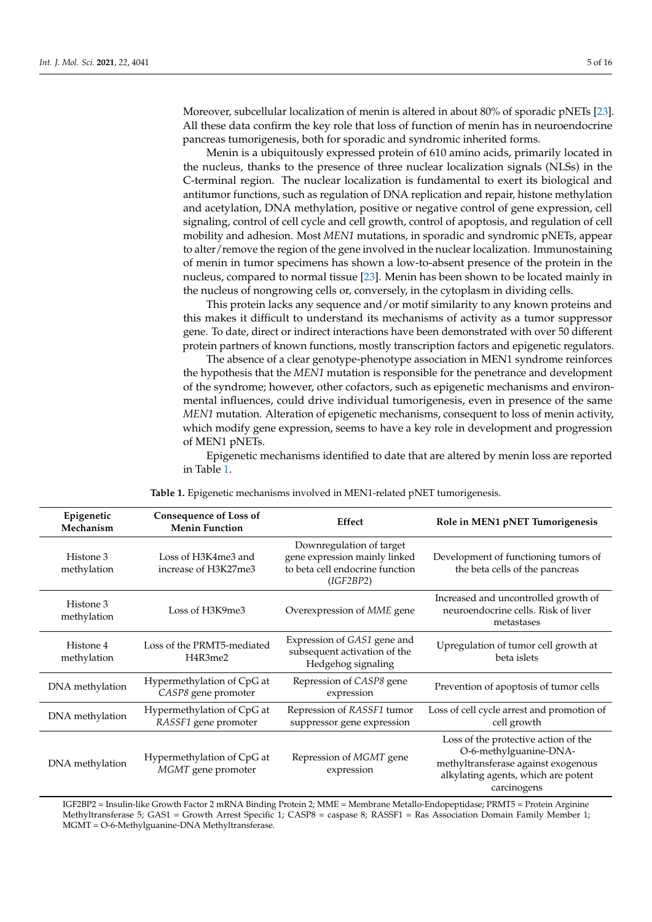Moreover, subcellular localization of menin is altered in about 80% of sporadic pNETs [\[23\]](#page-13-19). All these data confirm the key role that loss of function of menin has in neuroendocrine pancreas tumorigenesis, both for sporadic and syndromic inherited forms.

Menin is a ubiquitously expressed protein of 610 amino acids, primarily located in the nucleus, thanks to the presence of three nuclear localization signals (NLSs) in the C-terminal region. The nuclear localization is fundamental to exert its biological and antitumor functions, such as regulation of DNA replication and repair, histone methylation and acetylation, DNA methylation, positive or negative control of gene expression, cell signaling, control of cell cycle and cell growth, control of apoptosis, and regulation of cell mobility and adhesion. Most *MEN1* mutations, in sporadic and syndromic pNETs, appear to alter/remove the region of the gene involved in the nuclear localization. Immunostaining of menin in tumor specimens has shown a low-to-absent presence of the protein in the nucleus, compared to normal tissue [\[23\]](#page-13-19). Menin has been shown to be located mainly in the nucleus of nongrowing cells or, conversely, in the cytoplasm in dividing cells.

This protein lacks any sequence and/or motif similarity to any known proteins and this makes it difficult to understand its mechanisms of activity as a tumor suppressor gene. To date, direct or indirect interactions have been demonstrated with over 50 different protein partners of known functions, mostly transcription factors and epigenetic regulators.

The absence of a clear genotype-phenotype association in MEN1 syndrome reinforces the hypothesis that the *MEN1* mutation is responsible for the penetrance and development of the syndrome; however, other cofactors, such as epigenetic mechanisms and environmental influences, could drive individual tumorigenesis, even in presence of the same *MEN1* mutation. Alteration of epigenetic mechanisms, consequent to loss of menin activity, which modify gene expression, seems to have a key role in development and progression of MEN1 pNETs.

Epigenetic mechanisms identified to date that are altered by menin loss are reported in Table [1.](#page-4-0)

<span id="page-4-0"></span>

| Epigenetic<br>Mechanism  | <b>Consequence of Loss of</b><br><b>Menin Function</b> | Effect                                                                                                    | Role in MEN1 pNET Tumorigenesis                                                                                                                             |
|--------------------------|--------------------------------------------------------|-----------------------------------------------------------------------------------------------------------|-------------------------------------------------------------------------------------------------------------------------------------------------------------|
| Histone 3<br>methylation | Loss of H3K4me3 and<br>increase of H3K27me3            | Downregulation of target<br>gene expression mainly linked<br>to beta cell endocrine function<br>(IGF2BP2) | Development of functioning tumors of<br>the beta cells of the pancreas                                                                                      |
| Histone 3<br>methylation | Loss of H3K9me3                                        | Overexpression of MME gene                                                                                | Increased and uncontrolled growth of<br>neuroendocrine cells. Risk of liver<br>metastases                                                                   |
| Histone 4<br>methylation | Loss of the PRMT5-mediated<br>H4R3me2                  | Expression of GAS1 gene and<br>subsequent activation of the<br>Hedgehog signaling                         | Upregulation of tumor cell growth at<br>beta islets                                                                                                         |
| DNA methylation          | Hypermethylation of CpG at<br>CASP8 gene promoter      | Repression of CASP8 gene<br>expression                                                                    | Prevention of apoptosis of tumor cells                                                                                                                      |
| DNA methylation          | Hypermethylation of CpG at<br>RASSF1 gene promoter     | Repression of RASSF1 tumor<br>suppressor gene expression                                                  | Loss of cell cycle arrest and promotion of<br>cell growth                                                                                                   |
| DNA methylation          | Hypermethylation of CpG at<br>MGMT gene promoter       | Repression of <i>MGMT</i> gene<br>expression                                                              | Loss of the protective action of the<br>O-6-methylguanine-DNA-<br>methyltransferase against exogenous<br>alkylating agents, which are potent<br>carcinogens |

**Table 1.** Epigenetic mechanisms involved in MEN1-related pNET tumorigenesis.

IGF2BP2 = Insulin-like Growth Factor 2 mRNA Binding Protein 2; MME = Membrane Metallo-Endopeptidase; PRMT5 = Protein Arginine Methyltransferase 5; GAS1 = Growth Arrest Specific 1; CASP8 = caspase 8; RASSF1 = Ras Association Domain Family Member 1; MGMT = O-6-Methylguanine-DNA Methyltransferase.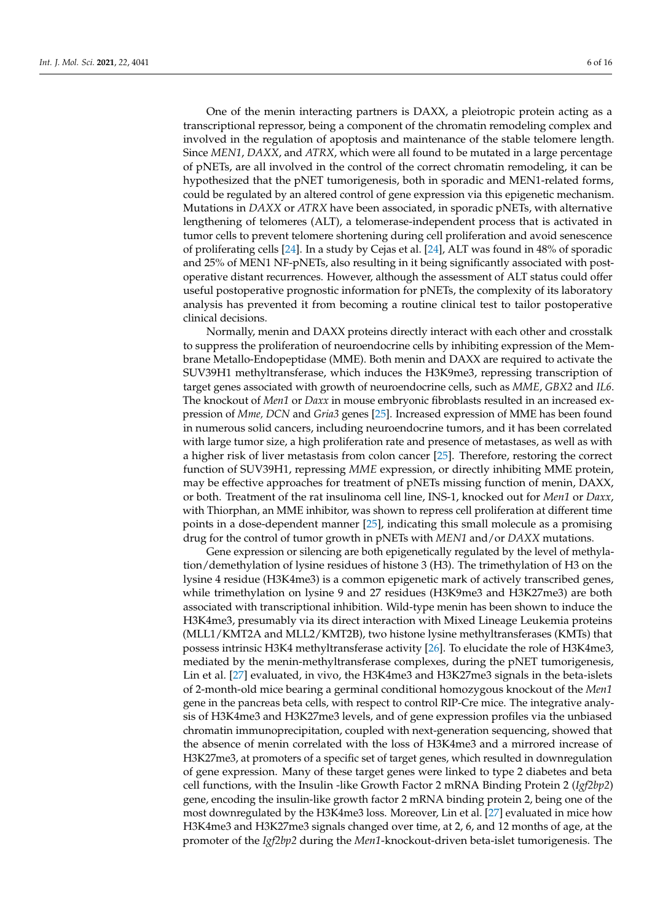One of the menin interacting partners is DAXX, a pleiotropic protein acting as a transcriptional repressor, being a component of the chromatin remodeling complex and involved in the regulation of apoptosis and maintenance of the stable telomere length. Since *MEN1*, *DAXX*, and *ATRX*, which were all found to be mutated in a large percentage of pNETs, are all involved in the control of the correct chromatin remodeling, it can be hypothesized that the pNET tumorigenesis, both in sporadic and MEN1-related forms, could be regulated by an altered control of gene expression via this epigenetic mechanism. Mutations in *DAXX* or *ATRX* have been associated, in sporadic pNETs, with alternative lengthening of telomeres (ALT), a telomerase-independent process that is activated in tumor cells to prevent telomere shortening during cell proliferation and avoid senescence of proliferating cells [\[24\]](#page-13-20). In a study by Cejas et al. [\[24\]](#page-13-20), ALT was found in 48% of sporadic and 25% of MEN1 NF-pNETs, also resulting in it being significantly associated with postoperative distant recurrences. However, although the assessment of ALT status could offer useful postoperative prognostic information for pNETs, the complexity of its laboratory analysis has prevented it from becoming a routine clinical test to tailor postoperative clinical decisions.

Normally, menin and DAXX proteins directly interact with each other and crosstalk to suppress the proliferation of neuroendocrine cells by inhibiting expression of the Membrane Metallo-Endopeptidase (MME). Both menin and DAXX are required to activate the SUV39H1 methyltransferase, which induces the H3K9me3, repressing transcription of target genes associated with growth of neuroendocrine cells, such as *MME*, *GBX2* and *IL6*. The knockout of *Men1* or *Daxx* in mouse embryonic fibroblasts resulted in an increased expression of *Mme, DCN* and *Gria3* genes [\[25\]](#page-13-21). Increased expression of MME has been found in numerous solid cancers, including neuroendocrine tumors, and it has been correlated with large tumor size, a high proliferation rate and presence of metastases, as well as with a higher risk of liver metastasis from colon cancer [\[25\]](#page-13-21). Therefore, restoring the correct function of SUV39H1, repressing *MME* expression, or directly inhibiting MME protein, may be effective approaches for treatment of pNETs missing function of menin, DAXX, or both. Treatment of the rat insulinoma cell line, INS-1, knocked out for *Men1* or *Daxx*, with Thiorphan, an MME inhibitor, was shown to repress cell proliferation at different time points in a dose-dependent manner [\[25\]](#page-13-21), indicating this small molecule as a promising drug for the control of tumor growth in pNETs with *MEN1* and/or *DAXX* mutations.

Gene expression or silencing are both epigenetically regulated by the level of methylation/demethylation of lysine residues of histone 3 (H3). The trimethylation of H3 on the lysine 4 residue (H3K4me3) is a common epigenetic mark of actively transcribed genes, while trimethylation on lysine 9 and 27 residues (H3K9me3 and H3K27me3) are both associated with transcriptional inhibition. Wild-type menin has been shown to induce the H3K4me3, presumably via its direct interaction with Mixed Lineage Leukemia proteins (MLL1/KMT2A and MLL2/KMT2B), two histone lysine methyltransferases (KMTs) that possess intrinsic H3K4 methyltransferase activity [\[26\]](#page-13-22). To elucidate the role of H3K4me3, mediated by the menin-methyltransferase complexes, during the pNET tumorigenesis, Lin et al. [\[27\]](#page-14-0) evaluated, in vivo, the H3K4me3 and H3K27me3 signals in the beta-islets of 2-month-old mice bearing a germinal conditional homozygous knockout of the *Men1* gene in the pancreas beta cells, with respect to control RIP-Cre mice. The integrative analysis of H3K4me3 and H3K27me3 levels, and of gene expression profiles via the unbiased chromatin immunoprecipitation, coupled with next-generation sequencing, showed that the absence of menin correlated with the loss of H3K4me3 and a mirrored increase of H3K27me3, at promoters of a specific set of target genes, which resulted in downregulation of gene expression. Many of these target genes were linked to type 2 diabetes and beta cell functions, with the Insulin -like Growth Factor 2 mRNA Binding Protein 2 (*Igf2bp2*) gene, encoding the insulin-like growth factor 2 mRNA binding protein 2, being one of the most downregulated by the H3K4me3 loss. Moreover, Lin et al. [\[27\]](#page-14-0) evaluated in mice how H3K4me3 and H3K27me3 signals changed over time, at 2, 6, and 12 months of age, at the promoter of the *Igf2bp2* during the *Men1*-knockout-driven beta-islet tumorigenesis. The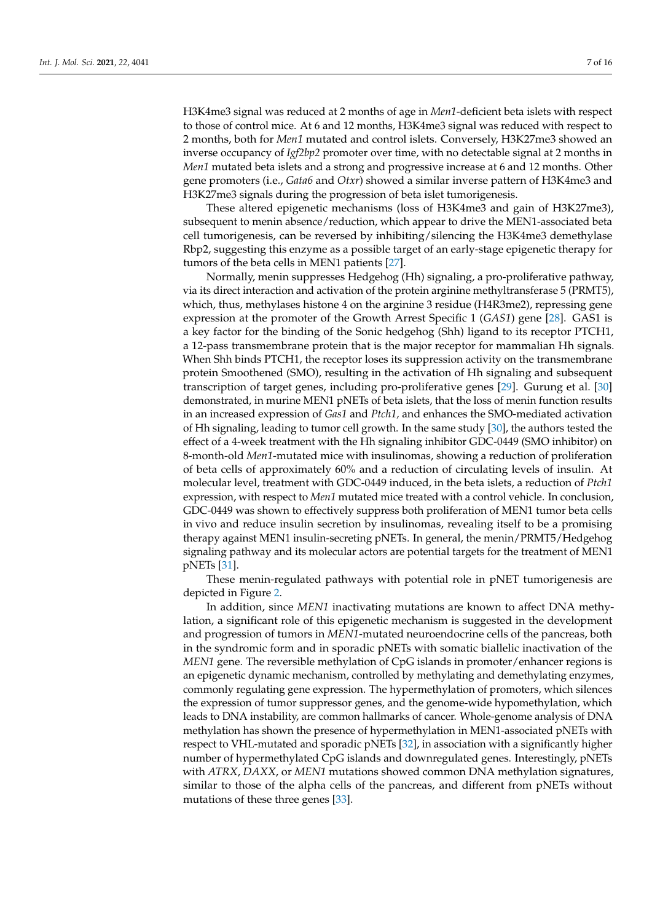H3K4me3 signal was reduced at 2 months of age in *Men1*-deficient beta islets with respect to those of control mice. At 6 and 12 months, H3K4me3 signal was reduced with respect to 2 months, both for *Men1* mutated and control islets. Conversely, H3K27me3 showed an inverse occupancy of *Igf2bp2* promoter over time, with no detectable signal at 2 months in *Men1* mutated beta islets and a strong and progressive increase at 6 and 12 months. Other gene promoters (i.e., *Gata6* and *Otxr*) showed a similar inverse pattern of H3K4me3 and H3K27me3 signals during the progression of beta islet tumorigenesis.

These altered epigenetic mechanisms (loss of H3K4me3 and gain of H3K27me3), subsequent to menin absence/reduction, which appear to drive the MEN1-associated beta cell tumorigenesis, can be reversed by inhibiting/silencing the H3K4me3 demethylase Rbp2, suggesting this enzyme as a possible target of an early-stage epigenetic therapy for tumors of the beta cells in MEN1 patients [\[27\]](#page-14-0).

Normally, menin suppresses Hedgehog (Hh) signaling, a pro-proliferative pathway, via its direct interaction and activation of the protein arginine methyltransferase 5 (PRMT5), which, thus, methylases histone 4 on the arginine 3 residue (H4R3me2), repressing gene expression at the promoter of the Growth Arrest Specific 1 (*GAS1*) gene [\[28\]](#page-14-1). GAS1 is a key factor for the binding of the Sonic hedgehog (Shh) ligand to its receptor PTCH1, a 12-pass transmembrane protein that is the major receptor for mammalian Hh signals. When Shh binds PTCH1, the receptor loses its suppression activity on the transmembrane protein Smoothened (SMO), resulting in the activation of Hh signaling and subsequent transcription of target genes, including pro-proliferative genes [\[29\]](#page-14-2). Gurung et al. [\[30\]](#page-14-3) demonstrated, in murine MEN1 pNETs of beta islets, that the loss of menin function results in an increased expression of *Gas1* and *Ptch1,* and enhances the SMO-mediated activation of Hh signaling, leading to tumor cell growth. In the same study [\[30\]](#page-14-3), the authors tested the effect of a 4-week treatment with the Hh signaling inhibitor GDC-0449 (SMO inhibitor) on 8-month-old *Men1*-mutated mice with insulinomas, showing a reduction of proliferation of beta cells of approximately 60% and a reduction of circulating levels of insulin. At molecular level, treatment with GDC-0449 induced, in the beta islets, a reduction of *Ptch1* expression, with respect to *Men1* mutated mice treated with a control vehicle. In conclusion, GDC-0449 was shown to effectively suppress both proliferation of MEN1 tumor beta cells in vivo and reduce insulin secretion by insulinomas, revealing itself to be a promising therapy against MEN1 insulin-secreting pNETs. In general, the menin/PRMT5/Hedgehog signaling pathway and its molecular actors are potential targets for the treatment of MEN1 pNETs [\[31\]](#page-14-4).

These menin-regulated pathways with potential role in pNET tumorigenesis are depicted in Figure [2.](#page-7-0)

In addition, since *MEN1* inactivating mutations are known to affect DNA methylation, a significant role of this epigenetic mechanism is suggested in the development and progression of tumors in *MEN1*-mutated neuroendocrine cells of the pancreas, both in the syndromic form and in sporadic pNETs with somatic biallelic inactivation of the *MEN1* gene. The reversible methylation of CpG islands in promoter/enhancer regions is an epigenetic dynamic mechanism, controlled by methylating and demethylating enzymes, commonly regulating gene expression. The hypermethylation of promoters, which silences the expression of tumor suppressor genes, and the genome-wide hypomethylation, which leads to DNA instability, are common hallmarks of cancer. Whole-genome analysis of DNA methylation has shown the presence of hypermethylation in MEN1-associated pNETs with respect to VHL-mutated and sporadic pNETs [\[32\]](#page-14-5), in association with a significantly higher number of hypermethylated CpG islands and downregulated genes. Interestingly, pNETs with *ATRX*, *DAXX*, or *MEN1* mutations showed common DNA methylation signatures, similar to those of the alpha cells of the pancreas, and different from pNETs without mutations of these three genes [\[33\]](#page-14-6).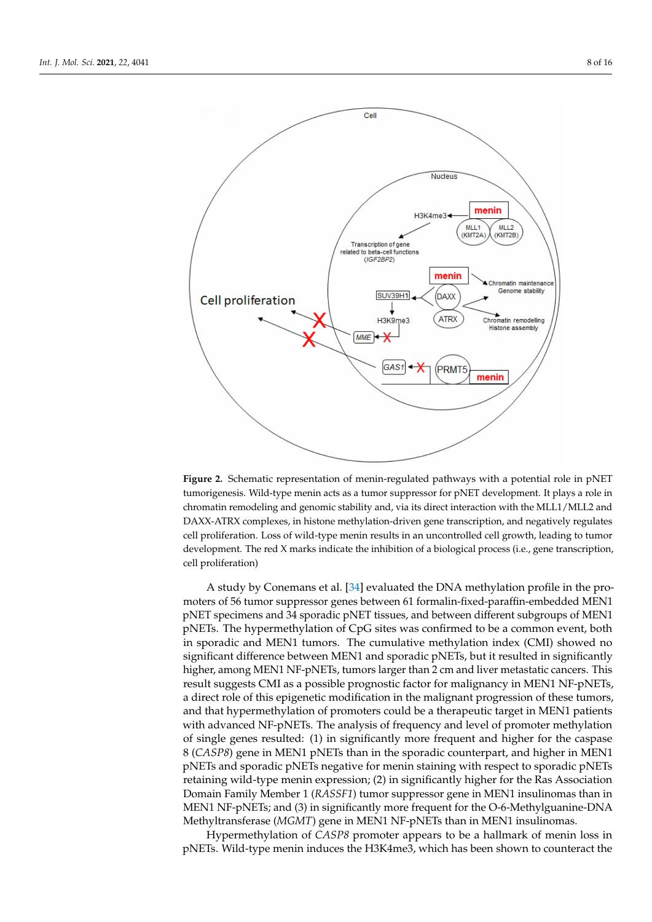<span id="page-7-0"></span>

**Figure 2.** Schematic representation of menin-regulated pathways with a potential role in pNET tumorigenesis. Wild-type menin acts as a tumor suppressor for pNET development. It plays a role in chromatin remodeling and genomic stability and, via its direct interaction with the MLL1/MLL2 and DAXX-ATRX complexes, in histone methylation-driven gene transcription, and negatively regulates cell proliferation. Loss of wild-type menin results in an uncontrolled cell growth, leading to tumor development. The red X marks indicate the inhibition of a biological process (i.e., gene transcription, cell proliferation)

A study by Conemans et al. [\[34\]](#page-14-7) evaluated the DNA methylation profile in the promoters of 56 tumor suppressor genes between 61 formalin-fixed-paraffin-embedded MEN1 pNET specimens and 34 sporadic pNET tissues, and between different subgroups of MEN1 pNETs. The hypermethylation of CpG sites was confirmed to be a common event, both in sporadic and MEN1 tumors. The cumulative methylation index (CMI) showed no significant difference between MEN1 and sporadic pNETs, but it resulted in significantly higher, among MEN1 NF-pNETs, tumors larger than 2 cm and liver metastatic cancers. This result suggests CMI as a possible prognostic factor for malignancy in MEN1 NF-pNETs, a direct role of this epigenetic modification in the malignant progression of these tumors, and that hypermethylation of promoters could be a therapeutic target in MEN1 patients with advanced NF-pNETs. The analysis of frequency and level of promoter methylation of single genes resulted: (1) in significantly more frequent and higher for the caspase 8 (*CASP8*) gene in MEN1 pNETs than in the sporadic counterpart, and higher in MEN1 pNETs and sporadic pNETs negative for menin staining with respect to sporadic pNETs retaining wild-type menin expression; (2) in significantly higher for the Ras Association Domain Family Member 1 (*RASSF1*) tumor suppressor gene in MEN1 insulinomas than in MEN1 NF-pNETs; and (3) in significantly more frequent for the O-6-Methylguanine-DNA Methyltransferase (*MGMT*) gene in MEN1 NF-pNETs than in MEN1 insulinomas.

Hypermethylation of *CASP8* promoter appears to be a hallmark of menin loss in pNETs. Wild-type menin induces the H3K4me3, which has been shown to counteract the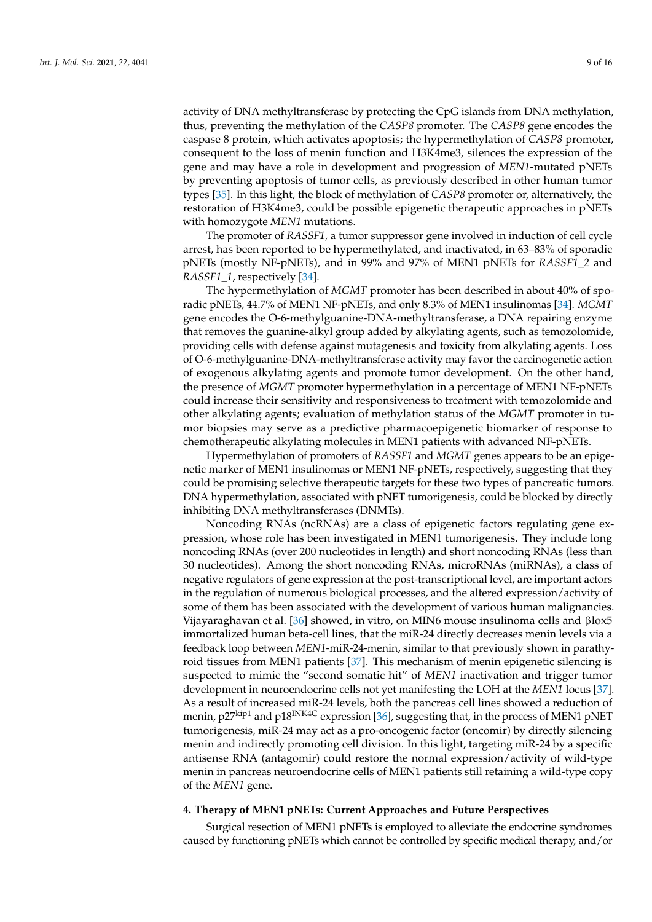activity of DNA methyltransferase by protecting the CpG islands from DNA methylation, thus, preventing the methylation of the *CASP8* promoter. The *CASP8* gene encodes the caspase 8 protein, which activates apoptosis; the hypermethylation of *CASP8* promoter, consequent to the loss of menin function and H3K4me3, silences the expression of the gene and may have a role in development and progression of *MEN1*-mutated pNETs by preventing apoptosis of tumor cells, as previously described in other human tumor types [\[35\]](#page-14-8). In this light, the block of methylation of *CASP8* promoter or, alternatively, the restoration of H3K4me3, could be possible epigenetic therapeutic approaches in pNETs with homozygote *MEN1* mutations.

The promoter of *RASSF1,* a tumor suppressor gene involved in induction of cell cycle arrest, has been reported to be hypermethylated, and inactivated, in 63–83% of sporadic pNETs (mostly NF-pNETs), and in 99% and 97% of MEN1 pNETs for *RASSF1\_2* and *RASSF1\_1*, respectively [\[34\]](#page-14-7).

The hypermethylation of *MGMT* promoter has been described in about 40% of sporadic pNETs, 44.7% of MEN1 NF-pNETs, and only 8.3% of MEN1 insulinomas [\[34\]](#page-14-7). *MGMT* gene encodes the O-6-methylguanine-DNA-methyltransferase, a DNA repairing enzyme that removes the guanine-alkyl group added by alkylating agents, such as temozolomide, providing cells with defense against mutagenesis and toxicity from alkylating agents. Loss of O-6-methylguanine-DNA-methyltransferase activity may favor the carcinogenetic action of exogenous alkylating agents and promote tumor development. On the other hand, the presence of *MGMT* promoter hypermethylation in a percentage of MEN1 NF-pNETs could increase their sensitivity and responsiveness to treatment with temozolomide and other alkylating agents; evaluation of methylation status of the *MGMT* promoter in tumor biopsies may serve as a predictive pharmacoepigenetic biomarker of response to chemotherapeutic alkylating molecules in MEN1 patients with advanced NF-pNETs.

Hypermethylation of promoters of *RASSF1* and *MGMT* genes appears to be an epigenetic marker of MEN1 insulinomas or MEN1 NF-pNETs, respectively, suggesting that they could be promising selective therapeutic targets for these two types of pancreatic tumors. DNA hypermethylation, associated with pNET tumorigenesis, could be blocked by directly inhibiting DNA methyltransferases (DNMTs).

Noncoding RNAs (ncRNAs) are a class of epigenetic factors regulating gene expression, whose role has been investigated in MEN1 tumorigenesis. They include long noncoding RNAs (over 200 nucleotides in length) and short noncoding RNAs (less than 30 nucleotides). Among the short noncoding RNAs, microRNAs (miRNAs), a class of negative regulators of gene expression at the post-transcriptional level, are important actors in the regulation of numerous biological processes, and the altered expression/activity of some of them has been associated with the development of various human malignancies. Vijayaraghavan et al. [\[36\]](#page-14-9) showed, in vitro, on MIN6 mouse insulinoma cells and βlox5 immortalized human beta-cell lines, that the miR-24 directly decreases menin levels via a feedback loop between *MEN1*-miR-24-menin, similar to that previously shown in parathy-roid tissues from MEN1 patients [\[37\]](#page-14-10). This mechanism of menin epigenetic silencing is suspected to mimic the "second somatic hit" of *MEN1* inactivation and trigger tumor development in neuroendocrine cells not yet manifesting the LOH at the *MEN1* locus [\[37\]](#page-14-10). As a result of increased miR-24 levels, both the pancreas cell lines showed a reduction of menin, p27<sup>kip1</sup> and p18<sup>INK4C</sup> expression [\[36\]](#page-14-9), suggesting that, in the process of MEN1 pNET tumorigenesis, miR-24 may act as a pro-oncogenic factor (oncomir) by directly silencing menin and indirectly promoting cell division. In this light, targeting miR-24 by a specific antisense RNA (antagomir) could restore the normal expression/activity of wild-type menin in pancreas neuroendocrine cells of MEN1 patients still retaining a wild-type copy of the *MEN1* gene.

## **4. Therapy of MEN1 pNETs: Current Approaches and Future Perspectives**

Surgical resection of MEN1 pNETs is employed to alleviate the endocrine syndromes caused by functioning pNETs which cannot be controlled by specific medical therapy, and/or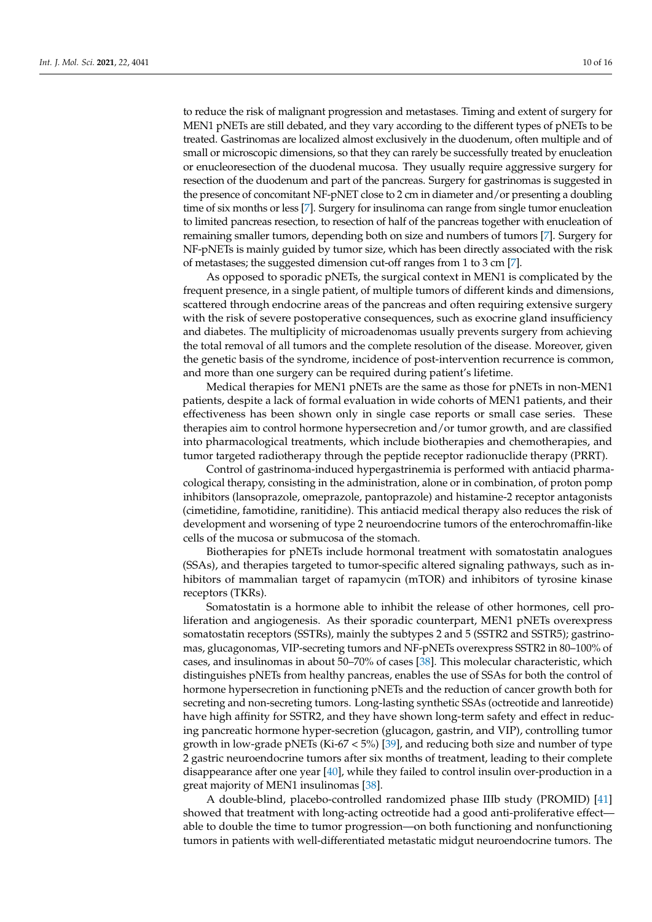to reduce the risk of malignant progression and metastases. Timing and extent of surgery for MEN1 pNETs are still debated, and they vary according to the different types of pNETs to be treated. Gastrinomas are localized almost exclusively in the duodenum, often multiple and of small or microscopic dimensions, so that they can rarely be successfully treated by enucleation or enucleoresection of the duodenal mucosa. They usually require aggressive surgery for resection of the duodenum and part of the pancreas. Surgery for gastrinomas is suggested in the presence of concomitant NF-pNET close to 2 cm in diameter and/or presenting a doubling time of six months or less [\[7\]](#page-13-4). Surgery for insulinoma can range from single tumor enucleation to limited pancreas resection, to resection of half of the pancreas together with enucleation of

of metastases; the suggested dimension cut-off ranges from 1 to 3 cm [\[7\]](#page-13-4). As opposed to sporadic pNETs, the surgical context in MEN1 is complicated by the frequent presence, in a single patient, of multiple tumors of different kinds and dimensions, scattered through endocrine areas of the pancreas and often requiring extensive surgery with the risk of severe postoperative consequences, such as exocrine gland insufficiency and diabetes. The multiplicity of microadenomas usually prevents surgery from achieving the total removal of all tumors and the complete resolution of the disease. Moreover, given the genetic basis of the syndrome, incidence of post-intervention recurrence is common, and more than one surgery can be required during patient's lifetime.

remaining smaller tumors, depending both on size and numbers of tumors [\[7\]](#page-13-4). Surgery for NF-pNETs is mainly guided by tumor size, which has been directly associated with the risk

Medical therapies for MEN1 pNETs are the same as those for pNETs in non-MEN1 patients, despite a lack of formal evaluation in wide cohorts of MEN1 patients, and their effectiveness has been shown only in single case reports or small case series. These therapies aim to control hormone hypersecretion and/or tumor growth, and are classified into pharmacological treatments, which include biotherapies and chemotherapies, and tumor targeted radiotherapy through the peptide receptor radionuclide therapy (PRRT).

Control of gastrinoma-induced hypergastrinemia is performed with antiacid pharmacological therapy, consisting in the administration, alone or in combination, of proton pomp inhibitors (lansoprazole, omeprazole, pantoprazole) and histamine-2 receptor antagonists (cimetidine, famotidine, ranitidine). This antiacid medical therapy also reduces the risk of development and worsening of type 2 neuroendocrine tumors of the enterochromaffin-like cells of the mucosa or submucosa of the stomach.

Biotherapies for pNETs include hormonal treatment with somatostatin analogues (SSAs), and therapies targeted to tumor-specific altered signaling pathways, such as inhibitors of mammalian target of rapamycin (mTOR) and inhibitors of tyrosine kinase receptors (TKRs).

Somatostatin is a hormone able to inhibit the release of other hormones, cell proliferation and angiogenesis. As their sporadic counterpart, MEN1 pNETs overexpress somatostatin receptors (SSTRs), mainly the subtypes 2 and 5 (SSTR2 and SSTR5); gastrinomas, glucagonomas, VIP-secreting tumors and NF-pNETs overexpress SSTR2 in 80–100% of cases, and insulinomas in about 50–70% of cases [\[38\]](#page-14-11). This molecular characteristic, which distinguishes pNETs from healthy pancreas, enables the use of SSAs for both the control of hormone hypersecretion in functioning pNETs and the reduction of cancer growth both for secreting and non-secreting tumors. Long-lasting synthetic SSAs (octreotide and lanreotide) have high affinity for SSTR2, and they have shown long-term safety and effect in reducing pancreatic hormone hyper-secretion (glucagon, gastrin, and VIP), controlling tumor growth in low-grade pNETs (Ki-67  $<$  5%) [\[39\]](#page-14-12), and reducing both size and number of type 2 gastric neuroendocrine tumors after six months of treatment, leading to their complete disappearance after one year [\[40\]](#page-14-13), while they failed to control insulin over-production in a great majority of MEN1 insulinomas [\[38\]](#page-14-11).

A double-blind, placebo-controlled randomized phase IIIb study (PROMID) [\[41\]](#page-14-14) showed that treatment with long-acting octreotide had a good anti-proliferative effect able to double the time to tumor progression—on both functioning and nonfunctioning tumors in patients with well-differentiated metastatic midgut neuroendocrine tumors. The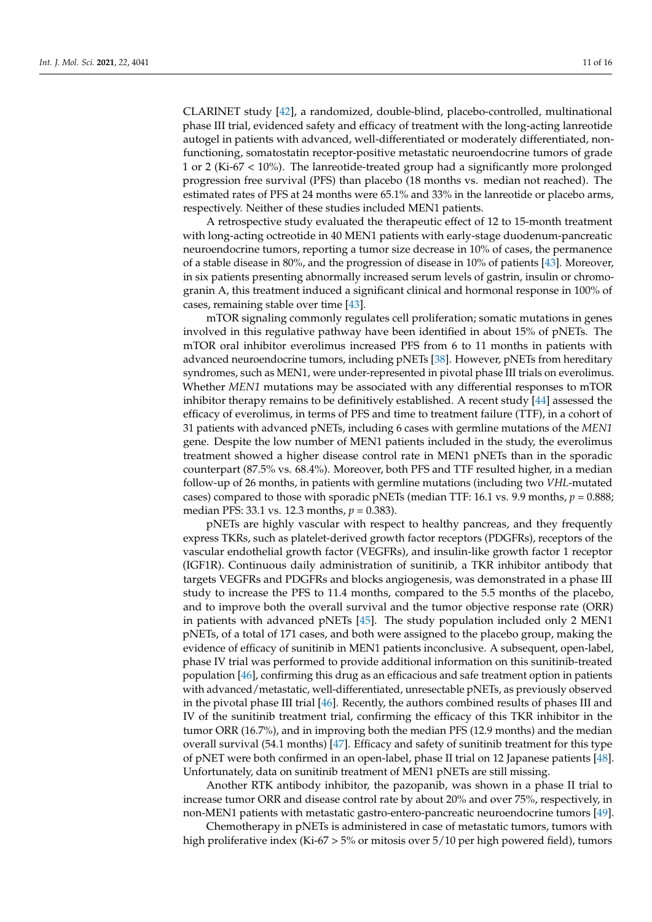CLARINET study [\[42\]](#page-14-15), a randomized, double-blind, placebo-controlled, multinational phase III trial, evidenced safety and efficacy of treatment with the long-acting lanreotide autogel in patients with advanced, well-differentiated or moderately differentiated, nonfunctioning, somatostatin receptor-positive metastatic neuroendocrine tumors of grade 1 or 2 (Ki-67 < 10%). The lanreotide-treated group had a significantly more prolonged progression free survival (PFS) than placebo (18 months vs. median not reached). The estimated rates of PFS at 24 months were 65.1% and 33% in the lanreotide or placebo arms, respectively. Neither of these studies included MEN1 patients.

A retrospective study evaluated the therapeutic effect of 12 to 15-month treatment with long-acting octreotide in 40 MEN1 patients with early-stage duodenum-pancreatic neuroendocrine tumors, reporting a tumor size decrease in 10% of cases, the permanence of a stable disease in 80%, and the progression of disease in 10% of patients [\[43\]](#page-14-16). Moreover, in six patients presenting abnormally increased serum levels of gastrin, insulin or chromogranin A, this treatment induced a significant clinical and hormonal response in 100% of cases, remaining stable over time [\[43\]](#page-14-16).

mTOR signaling commonly regulates cell proliferation; somatic mutations in genes involved in this regulative pathway have been identified in about 15% of pNETs. The mTOR oral inhibitor everolimus increased PFS from 6 to 11 months in patients with advanced neuroendocrine tumors, including pNETs [\[38\]](#page-14-11). However, pNETs from hereditary syndromes, such as MEN1, were under-represented in pivotal phase III trials on everolimus. Whether *MEN1* mutations may be associated with any differential responses to mTOR inhibitor therapy remains to be definitively established. A recent study [\[44\]](#page-14-17) assessed the efficacy of everolimus, in terms of PFS and time to treatment failure (TTF), in a cohort of 31 patients with advanced pNETs, including 6 cases with germline mutations of the *MEN1* gene. Despite the low number of MEN1 patients included in the study, the everolimus treatment showed a higher disease control rate in MEN1 pNETs than in the sporadic counterpart (87.5% vs. 68.4%). Moreover, both PFS and TTF resulted higher, in a median follow-up of 26 months, in patients with germline mutations (including two *VHL*-mutated cases) compared to those with sporadic pNETs (median TTF: 16.1 vs. 9.9 months,  $p = 0.888$ ; median PFS: 33.1 vs. 12.3 months, *p* = 0.383).

pNETs are highly vascular with respect to healthy pancreas, and they frequently express TKRs, such as platelet-derived growth factor receptors (PDGFRs), receptors of the vascular endothelial growth factor (VEGFRs), and insulin-like growth factor 1 receptor (IGF1R). Continuous daily administration of sunitinib, a TKR inhibitor antibody that targets VEGFRs and PDGFRs and blocks angiogenesis, was demonstrated in a phase III study to increase the PFS to 11.4 months, compared to the 5.5 months of the placebo, and to improve both the overall survival and the tumor objective response rate (ORR) in patients with advanced pNETs [\[45\]](#page-14-18). The study population included only 2 MEN1 pNETs, of a total of 171 cases, and both were assigned to the placebo group, making the evidence of efficacy of sunitinib in MEN1 patients inconclusive. A subsequent, open-label, phase IV trial was performed to provide additional information on this sunitinib-treated population [\[46\]](#page-14-19), confirming this drug as an efficacious and safe treatment option in patients with advanced/metastatic, well-differentiated, unresectable pNETs, as previously observed in the pivotal phase III trial [\[46\]](#page-14-19). Recently, the authors combined results of phases III and IV of the sunitinib treatment trial, confirming the efficacy of this TKR inhibitor in the tumor ORR (16.7%), and in improving both the median PFS (12.9 months) and the median overall survival (54.1 months) [\[47\]](#page-14-20). Efficacy and safety of sunitinib treatment for this type of pNET were both confirmed in an open-label, phase II trial on 12 Japanese patients [\[48\]](#page-14-21). Unfortunately, data on sunitinib treatment of MEN1 pNETs are still missing.

Another RTK antibody inhibitor, the pazopanib, was shown in a phase II trial to increase tumor ORR and disease control rate by about 20% and over 75%, respectively, in non-MEN1 patients with metastatic gastro-entero-pancreatic neuroendocrine tumors [\[49\]](#page-14-22).

Chemotherapy in pNETs is administered in case of metastatic tumors, tumors with high proliferative index (Ki-67 > 5% or mitosis over 5/10 per high powered field), tumors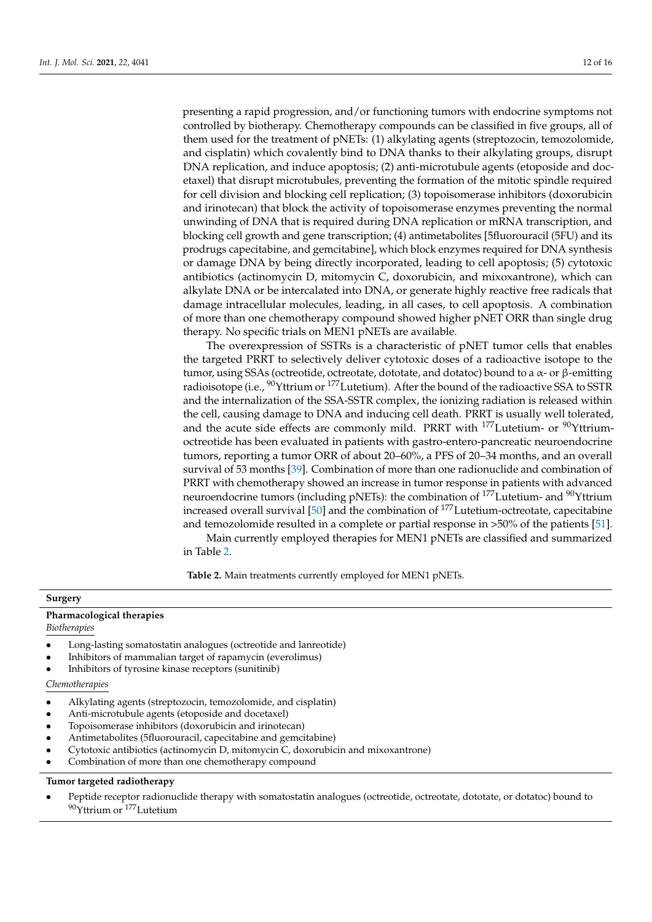presenting a rapid progression, and/or functioning tumors with endocrine symptoms not controlled by biotherapy. Chemotherapy compounds can be classified in five groups, all of them used for the treatment of pNETs: (1) alkylating agents (streptozocin, temozolomide, and cisplatin) which covalently bind to DNA thanks to their alkylating groups, disrupt DNA replication, and induce apoptosis; (2) anti-microtubule agents (etoposide and docetaxel) that disrupt microtubules, preventing the formation of the mitotic spindle required for cell division and blocking cell replication; (3) topoisomerase inhibitors (doxorubicin and irinotecan) that block the activity of topoisomerase enzymes preventing the normal unwinding of DNA that is required during DNA replication or mRNA transcription, and blocking cell growth and gene transcription; (4) antimetabolites [5fluorouracil (5FU) and its prodrugs capecitabine, and gemcitabine], which block enzymes required for DNA synthesis or damage DNA by being directly incorporated, leading to cell apoptosis; (5) cytotoxic antibiotics (actinomycin D, mitomycin C, doxorubicin, and mixoxantrone), which can alkylate DNA or be intercalated into DNA, or generate highly reactive free radicals that damage intracellular molecules, leading, in all cases, to cell apoptosis. A combination of more than one chemotherapy compound showed higher pNET ORR than single drug therapy. No specific trials on MEN1 pNETs are available.

The overexpression of SSTRs is a characteristic of pNET tumor cells that enables the targeted PRRT to selectively deliver cytotoxic doses of a radioactive isotope to the tumor, using SSAs (octreotide, octreotate, dototate, and dotatoc) bound to a α- or β-emitting radioisotope (i.e., <sup>90</sup>Yttrium or <sup>177</sup>Lutetium). After the bound of the radioactive SSA to SSTR and the internalization of the SSA-SSTR complex, the ionizing radiation is released within the cell, causing damage to DNA and inducing cell death. PRRT is usually well tolerated, and the acute side effects are commonly mild. PRRT with  $^{177}$  Lutetium- or  $^{90}$  Yttriumoctreotide has been evaluated in patients with gastro-entero-pancreatic neuroendocrine tumors, reporting a tumor ORR of about 20–60%, a PFS of 20–34 months, and an overall survival of 53 months [\[39\]](#page-14-12). Combination of more than one radionuclide and combination of PRRT with chemotherapy showed an increase in tumor response in patients with advanced neuroendocrine tumors (including pNETs): the combination of <sup>177</sup>Lutetium- and <sup>90</sup>Yttrium increased overall survival [\[50\]](#page-15-0) and the combination of <sup>177</sup>Lutetium-octreotate, capecitabine and temozolomide resulted in a complete or partial response in >50% of the patients [\[51\]](#page-15-1). Main currently employed therapies for MEN1 pNETs are classified and summarized

in Table [2.](#page-11-0)

**Table 2.** Main treatments currently employed for MEN1 pNETs.

#### <span id="page-11-0"></span>**Surgery**

# **Pharmacological therapies**

*Biotherapies*

- Long-lasting somatostatin analogues (octreotide and lanreotide)
- Inhibitors of mammalian target of rapamycin (everolimus)
- Inhibitors of tyrosine kinase receptors (sunitinib)

## *Chemotherapies*

- Alkylating agents (streptozocin, temozolomide, and cisplatin)
- Anti-microtubule agents (etoposide and docetaxel)
- Topoisomerase inhibitors (doxorubicin and irinotecan)
- Antimetabolites (5fluorouracil, capecitabine and gemcitabine)
- Cytotoxic antibiotics (actinomycin D, mitomycin C, doxorubicin and mixoxantrone)
- Combination of more than one chemotherapy compound

## **Tumor targeted radiotherapy**

• Peptide receptor radionuclide therapy with somatostatin analogues (octreotide, octreotate, dototate, or dotatoc) bound to 90Yttrium or <sup>177</sup>Lutetium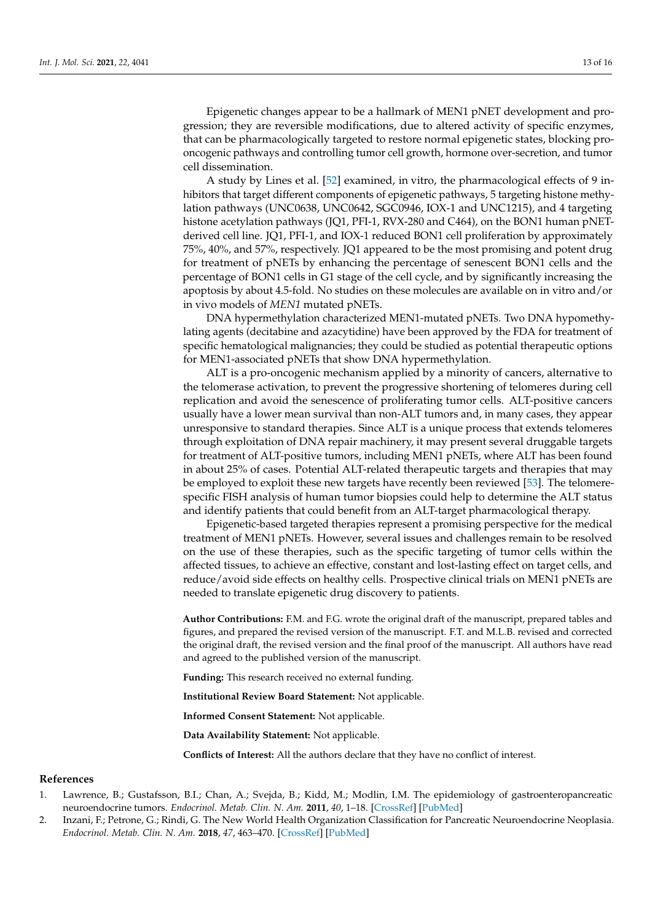Epigenetic changes appear to be a hallmark of MEN1 pNET development and progression; they are reversible modifications, due to altered activity of specific enzymes, that can be pharmacologically targeted to restore normal epigenetic states, blocking prooncogenic pathways and controlling tumor cell growth, hormone over-secretion, and tumor cell dissemination.

A study by Lines et al. [\[52\]](#page-15-2) examined, in vitro, the pharmacological effects of 9 inhibitors that target different components of epigenetic pathways, 5 targeting histone methylation pathways (UNC0638, UNC0642, SGC0946, IOX-1 and UNC1215), and 4 targeting histone acetylation pathways (JQ1, PFI-1, RVX-280 and C464), on the BON1 human pNETderived cell line. JQ1, PFI-1, and IOX-1 reduced BON1 cell proliferation by approximately 75%, 40%, and 57%, respectively. JQ1 appeared to be the most promising and potent drug for treatment of pNETs by enhancing the percentage of senescent BON1 cells and the percentage of BON1 cells in G1 stage of the cell cycle, and by significantly increasing the apoptosis by about 4.5-fold. No studies on these molecules are available on in vitro and/or in vivo models of *MEN1* mutated pNETs.

DNA hypermethylation characterized MEN1-mutated pNETs. Two DNA hypomethylating agents (decitabine and azacytidine) have been approved by the FDA for treatment of specific hematological malignancies; they could be studied as potential therapeutic options for MEN1-associated pNETs that show DNA hypermethylation.

ALT is a pro-oncogenic mechanism applied by a minority of cancers, alternative to the telomerase activation, to prevent the progressive shortening of telomeres during cell replication and avoid the senescence of proliferating tumor cells. ALT-positive cancers usually have a lower mean survival than non-ALT tumors and, in many cases, they appear unresponsive to standard therapies. Since ALT is a unique process that extends telomeres through exploitation of DNA repair machinery, it may present several druggable targets for treatment of ALT-positive tumors, including MEN1 pNETs, where ALT has been found in about 25% of cases. Potential ALT-related therapeutic targets and therapies that may be employed to exploit these new targets have recently been reviewed [\[53\]](#page-15-3). The telomerespecific FISH analysis of human tumor biopsies could help to determine the ALT status and identify patients that could benefit from an ALT-target pharmacological therapy.

Epigenetic-based targeted therapies represent a promising perspective for the medical treatment of MEN1 pNETs. However, several issues and challenges remain to be resolved on the use of these therapies, such as the specific targeting of tumor cells within the affected tissues, to achieve an effective, constant and lost-lasting effect on target cells, and reduce/avoid side effects on healthy cells. Prospective clinical trials on MEN1 pNETs are needed to translate epigenetic drug discovery to patients.

**Author Contributions:** F.M. and F.G. wrote the original draft of the manuscript, prepared tables and figures, and prepared the revised version of the manuscript. F.T. and M.L.B. revised and corrected the original draft, the revised version and the final proof of the manuscript. All authors have read and agreed to the published version of the manuscript.

**Funding:** This research received no external funding.

**Institutional Review Board Statement:** Not applicable.

**Informed Consent Statement:** Not applicable.

**Data Availability Statement:** Not applicable.

**Conflicts of Interest:** All the authors declare that they have no conflict of interest.

## **References**

- <span id="page-12-0"></span>1. Lawrence, B.; Gustafsson, B.I.; Chan, A.; Svejda, B.; Kidd, M.; Modlin, I.M. The epidemiology of gastroenteropancreatic neuroendocrine tumors. *Endocrinol. Metab. Clin. N. Am.* **2011**, *40*, 1–18. [\[CrossRef\]](http://doi.org/10.1016/j.ecl.2010.12.005) [\[PubMed\]](http://www.ncbi.nlm.nih.gov/pubmed/21349409)
- <span id="page-12-1"></span>2. Inzani, F.; Petrone, G.; Rindi, G. The New World Health Organization Classification for Pancreatic Neuroendocrine Neoplasia. *Endocrinol. Metab. Clin. N. Am.* **2018**, *47*, 463–470. [\[CrossRef\]](http://doi.org/10.1016/j.ecl.2018.04.008) [\[PubMed\]](http://www.ncbi.nlm.nih.gov/pubmed/30098710)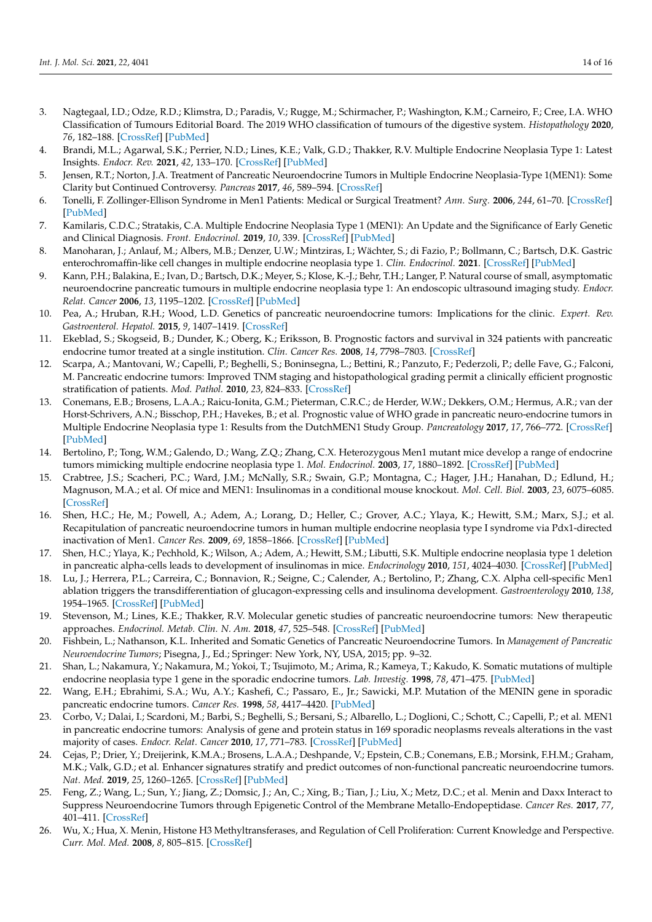- <span id="page-13-0"></span>3. Nagtegaal, I.D.; Odze, R.D.; Klimstra, D.; Paradis, V.; Rugge, M.; Schirmacher, P.; Washington, K.M.; Carneiro, F.; Cree, I.A. WHO Classification of Tumours Editorial Board. The 2019 WHO classification of tumours of the digestive system. *Histopathology* **2020**, *76*, 182–188. [\[CrossRef\]](http://doi.org/10.1111/his.13975) [\[PubMed\]](http://www.ncbi.nlm.nih.gov/pubmed/31433515)
- <span id="page-13-1"></span>4. Brandi, M.L.; Agarwal, S.K.; Perrier, N.D.; Lines, K.E.; Valk, G.D.; Thakker, R.V. Multiple Endocrine Neoplasia Type 1: Latest Insights. *Endocr. Rev.* **2021**, *42*, 133–170. [\[CrossRef\]](http://doi.org/10.1210/endrev/bnaa031) [\[PubMed\]](http://www.ncbi.nlm.nih.gov/pubmed/33249439)
- <span id="page-13-2"></span>5. Jensen, R.T.; Norton, J.A. Treatment of Pancreatic Neuroendocrine Tumors in Multiple Endocrine Neoplasia-Type 1(MEN1): Some Clarity but Continued Controversy. *Pancreas* **2017**, *46*, 589–594. [\[CrossRef\]](http://doi.org/10.1097/MPA.0000000000000825)
- <span id="page-13-3"></span>6. Tonelli, F. Zollinger-Ellison Syndrome in Men1 Patients: Medical or Surgical Treatment? *Ann. Surg.* **2006**, *244*, 61–70. [\[CrossRef\]](http://doi.org/10.1097/01.sla.0000218073.77254.62) [\[PubMed\]](http://www.ncbi.nlm.nih.gov/pubmed/16794390)
- <span id="page-13-4"></span>7. Kamilaris, C.D.C.; Stratakis, C.A. Multiple Endocrine Neoplasia Type 1 (MEN1): An Update and the Significance of Early Genetic and Clinical Diagnosis. *Front. Endocrinol.* **2019**, *10*, 339. [\[CrossRef\]](http://doi.org/10.3389/fendo.2019.00339) [\[PubMed\]](http://www.ncbi.nlm.nih.gov/pubmed/31263451)
- <span id="page-13-5"></span>8. Manoharan, J.; Anlauf, M.; Albers, M.B.; Denzer, U.W.; Mintziras, I.; Wächter, S.; di Fazio, P.; Bollmann, C.; Bartsch, D.K. Gastric enterochromaffin-like cell changes in multiple endocrine neoplasia type 1. *Clin. Endocrinol.* **2021**. [\[CrossRef\]](http://doi.org/10.1111/cen.14430) [\[PubMed\]](http://www.ncbi.nlm.nih.gov/pubmed/33506527)
- <span id="page-13-6"></span>9. Kann, P.H.; Balakina, E.; Ivan, D.; Bartsch, D.K.; Meyer, S.; Klose, K.-J.; Behr, T.H.; Langer, P. Natural course of small, asymptomatic neuroendocrine pancreatic tumours in multiple endocrine neoplasia type 1: An endoscopic ultrasound imaging study. *Endocr. Relat. Cancer* **2006**, *13*, 1195–1202. [\[CrossRef\]](http://doi.org/10.1677/erc.1.01220) [\[PubMed\]](http://www.ncbi.nlm.nih.gov/pubmed/17158764)
- <span id="page-13-7"></span>10. Pea, A.; Hruban, R.H.; Wood, L.D. Genetics of pancreatic neuroendocrine tumors: Implications for the clinic. *Expert. Rev. Gastroenterol. Hepatol.* **2015**, *9*, 1407–1419. [\[CrossRef\]](http://doi.org/10.1586/17474124.2015.1092383)
- <span id="page-13-8"></span>11. Ekeblad, S.; Skogseid, B.; Dunder, K.; Oberg, K.; Eriksson, B. Prognostic factors and survival in 324 patients with pancreatic endocrine tumor treated at a single institution. *Clin. Cancer Res.* **2008**, *14*, 7798–7803. [\[CrossRef\]](http://doi.org/10.1158/1078-0432.CCR-08-0734)
- <span id="page-13-9"></span>12. Scarpa, A.; Mantovani, W.; Capelli, P.; Beghelli, S.; Boninsegna, L.; Bettini, R.; Panzuto, F.; Pederzoli, P.; delle Fave, G.; Falconi, M. Pancreatic endocrine tumors: Improved TNM staging and histopathological grading permit a clinically efficient prognostic stratification of patients. *Mod. Pathol.* **2010**, *23*, 824–833. [\[CrossRef\]](http://doi.org/10.1038/modpathol.2010.58)
- <span id="page-13-10"></span>13. Conemans, E.B.; Brosens, L.A.A.; Raicu-Ionita, G.M.; Pieterman, C.R.C.; de Herder, W.W.; Dekkers, O.M.; Hermus, A.R.; van der Horst-Schrivers, A.N.; Bisschop, P.H.; Havekes, B.; et al. Prognostic value of WHO grade in pancreatic neuro-endocrine tumors in Multiple Endocrine Neoplasia type 1: Results from the DutchMEN1 Study Group. *Pancreatology* **2017**, *17*, 766–772. [\[CrossRef\]](http://doi.org/10.1016/j.pan.2017.07.196) [\[PubMed\]](http://www.ncbi.nlm.nih.gov/pubmed/28811081)
- <span id="page-13-11"></span>14. Bertolino, P.; Tong, W.M.; Galendo, D.; Wang, Z.Q.; Zhang, C.X. Heterozygous Men1 mutant mice develop a range of endocrine tumors mimicking multiple endocrine neoplasia type 1. *Mol. Endocrinol.* **2003**, *17*, 1880–1892. [\[CrossRef\]](http://doi.org/10.1210/me.2003-0154) [\[PubMed\]](http://www.ncbi.nlm.nih.gov/pubmed/12819299)
- <span id="page-13-12"></span>15. Crabtree, J.S.; Scacheri, P.C.; Ward, J.M.; McNally, S.R.; Swain, G.P.; Montagna, C.; Hager, J.H.; Hanahan, D.; Edlund, H.; Magnuson, M.A.; et al. Of mice and MEN1: Insulinomas in a conditional mouse knockout. *Mol. Cell. Biol.* **2003**, *23*, 6075–6085. [\[CrossRef\]](http://doi.org/10.1128/MCB.23.17.6075-6085.2003)
- <span id="page-13-13"></span>16. Shen, H.C.; He, M.; Powell, A.; Adem, A.; Lorang, D.; Heller, C.; Grover, A.C.; Ylaya, K.; Hewitt, S.M.; Marx, S.J.; et al. Recapitulation of pancreatic neuroendocrine tumors in human multiple endocrine neoplasia type I syndrome via Pdx1-directed inactivation of Men1. *Cancer Res.* **2009**, *69*, 1858–1866. [\[CrossRef\]](http://doi.org/10.1158/0008-5472.CAN-08-3662) [\[PubMed\]](http://www.ncbi.nlm.nih.gov/pubmed/19208834)
- <span id="page-13-14"></span>17. Shen, H.C.; Ylaya, K.; Pechhold, K.; Wilson, A.; Adem, A.; Hewitt, S.M.; Libutti, S.K. Multiple endocrine neoplasia type 1 deletion in pancreatic alpha-cells leads to development of insulinomas in mice. *Endocrinology* **2010**, *151*, 4024–4030. [\[CrossRef\]](http://doi.org/10.1210/en.2009-1251) [\[PubMed\]](http://www.ncbi.nlm.nih.gov/pubmed/20555035)
- <span id="page-13-15"></span>18. Lu, J.; Herrera, P.L.; Carreira, C.; Bonnavion, R.; Seigne, C.; Calender, A.; Bertolino, P.; Zhang, C.X. Alpha cell-specific Men1 ablation triggers the transdifferentiation of glucagon-expressing cells and insulinoma development. *Gastroenterology* **2010**, *138*, 1954–1965. [\[CrossRef\]](http://doi.org/10.1053/j.gastro.2010.01.046) [\[PubMed\]](http://www.ncbi.nlm.nih.gov/pubmed/20138042)
- <span id="page-13-16"></span>19. Stevenson, M.; Lines, K.E.; Thakker, R.V. Molecular genetic studies of pancreatic neuroendocrine tumors: New therapeutic approaches. *Endocrinol. Metab. Clin. N. Am.* **2018**, *47*, 525–548. [\[CrossRef\]](http://doi.org/10.1016/j.ecl.2018.04.007) [\[PubMed\]](http://www.ncbi.nlm.nih.gov/pubmed/30098714)
- <span id="page-13-17"></span>20. Fishbein, L.; Nathanson, K.L. Inherited and Somatic Genetics of Pancreatic Neuroendocrine Tumors. In *Management of Pancreatic Neuroendocrine Tumors*; Pisegna, J., Ed.; Springer: New York, NY, USA, 2015; pp. 9–32.
- 21. Shan, L.; Nakamura, Y.; Nakamura, M.; Yokoi, T.; Tsujimoto, M.; Arima, R.; Kameya, T.; Kakudo, K. Somatic mutations of multiple endocrine neoplasia type 1 gene in the sporadic endocrine tumors. *Lab. Investig.* **1998**, *78*, 471–475. [\[PubMed\]](http://www.ncbi.nlm.nih.gov/pubmed/9564891)
- <span id="page-13-18"></span>22. Wang, E.H.; Ebrahimi, S.A.; Wu, A.Y.; Kashefi, C.; Passaro, E., Jr.; Sawicki, M.P. Mutation of the MENIN gene in sporadic pancreatic endocrine tumors. *Cancer Res.* **1998**, *58*, 4417–4420. [\[PubMed\]](http://www.ncbi.nlm.nih.gov/pubmed/9766672)
- <span id="page-13-19"></span>23. Corbo, V.; Dalai, I.; Scardoni, M.; Barbi, S.; Beghelli, S.; Bersani, S.; Albarello, L.; Doglioni, C.; Schott, C.; Capelli, P.; et al. MEN1 in pancreatic endocrine tumors: Analysis of gene and protein status in 169 sporadic neoplasms reveals alterations in the vast majority of cases. *Endocr. Relat. Cancer* **2010**, *17*, 771–783. [\[CrossRef\]](http://doi.org/10.1677/ERC-10-0028) [\[PubMed\]](http://www.ncbi.nlm.nih.gov/pubmed/20566584)
- <span id="page-13-20"></span>24. Cejas, P.; Drier, Y.; Dreijerink, K.M.A.; Brosens, L.A.A.; Deshpande, V.; Epstein, C.B.; Conemans, E.B.; Morsink, F.H.M.; Graham, M.K.; Valk, G.D.; et al. Enhancer signatures stratify and predict outcomes of non-functional pancreatic neuroendocrine tumors. *Nat. Med.* **2019**, *25*, 1260–1265. [\[CrossRef\]](http://doi.org/10.1038/s41591-019-0493-4) [\[PubMed\]](http://www.ncbi.nlm.nih.gov/pubmed/31263286)
- <span id="page-13-21"></span>25. Feng, Z.; Wang, L.; Sun, Y.; Jiang, Z.; Domsic, J.; An, C.; Xing, B.; Tian, J.; Liu, X.; Metz, D.C.; et al. Menin and Daxx Interact to Suppress Neuroendocrine Tumors through Epigenetic Control of the Membrane Metallo-Endopeptidase. *Cancer Res.* **2017**, *77*, 401–411. [\[CrossRef\]](http://doi.org/10.1158/0008-5472.CAN-16-1567)
- <span id="page-13-22"></span>26. Wu, X.; Hua, X. Menin, Histone H3 Methyltransferases, and Regulation of Cell Proliferation: Current Knowledge and Perspective. *Curr. Mol. Med.* **2008**, *8*, 805–815. [\[CrossRef\]](http://doi.org/10.2174/156652408786733702)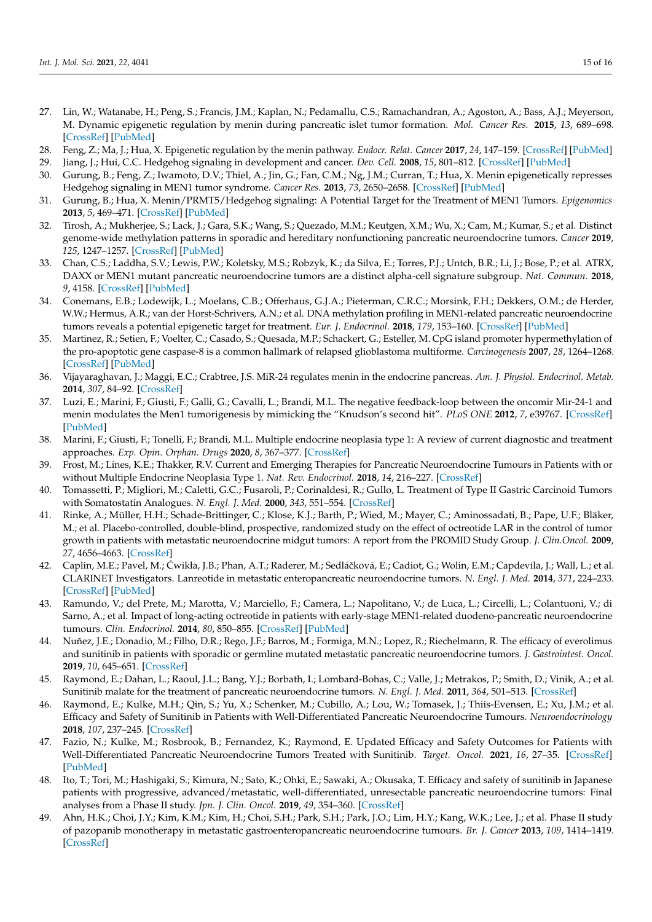- <span id="page-14-0"></span>27. Lin, W.; Watanabe, H.; Peng, S.; Francis, J.M.; Kaplan, N.; Pedamallu, C.S.; Ramachandran, A.; Agoston, A.; Bass, A.J.; Meyerson, M. Dynamic epigenetic regulation by menin during pancreatic islet tumor formation. *Mol. Cancer Res.* **2015**, *13*, 689–698. [\[CrossRef\]](http://doi.org/10.1158/1541-7786.MCR-14-0457) [\[PubMed\]](http://www.ncbi.nlm.nih.gov/pubmed/25537453)
- <span id="page-14-1"></span>28. Feng, Z.; Ma, J.; Hua, X. Epigenetic regulation by the menin pathway. *Endocr. Relat. Cancer* **2017**, *24*, 147–159. [\[CrossRef\]](http://doi.org/10.1530/ERC-17-0298) [\[PubMed\]](http://www.ncbi.nlm.nih.gov/pubmed/28811300)
- <span id="page-14-2"></span>29. Jiang, J.; Hui, C.C. Hedgehog signaling in development and cancer. *Dev. Cell.* **2008**, *15*, 801–812. [\[CrossRef\]](http://doi.org/10.1016/j.devcel.2008.11.010) [\[PubMed\]](http://www.ncbi.nlm.nih.gov/pubmed/19081070)
- <span id="page-14-3"></span>30. Gurung, B.; Feng, Z.; Iwamoto, D.V.; Thiel, A.; Jin, G.; Fan, C.M.; Ng, J.M.; Curran, T.; Hua, X. Menin epigenetically represses Hedgehog signaling in MEN1 tumor syndrome. *Cancer Res.* **2013**, *73*, 2650–2658. [\[CrossRef\]](http://doi.org/10.1158/0008-5472.CAN-12-3158) [\[PubMed\]](http://www.ncbi.nlm.nih.gov/pubmed/23580576)
- <span id="page-14-4"></span>31. Gurung, B.; Hua, X. Menin/PRMT5/Hedgehog signaling: A Potential Target for the Treatment of MEN1 Tumors. *Epigenomics* **2013**, *5*, 469–471. [\[CrossRef\]](http://doi.org/10.2217/epi.13.47) [\[PubMed\]](http://www.ncbi.nlm.nih.gov/pubmed/24059791)
- <span id="page-14-5"></span>32. Tirosh, A.; Mukherjee, S.; Lack, J.; Gara, S.K.; Wang, S.; Quezado, M.M.; Keutgen, X.M.; Wu, X.; Cam, M.; Kumar, S.; et al. Distinct genome-wide methylation patterns in sporadic and hereditary nonfunctioning pancreatic neuroendocrine tumors. *Cancer* **2019**, *125*, 1247–1257. [\[CrossRef\]](http://doi.org/10.1002/cncr.31930) [\[PubMed\]](http://www.ncbi.nlm.nih.gov/pubmed/30620390)
- <span id="page-14-6"></span>33. Chan, C.S.; Laddha, S.V.; Lewis, P.W.; Koletsky, M.S.; Robzyk, K.; da Silva, E.; Torres, P.J.; Untch, B.R.; Li, J.; Bose, P.; et al. ATRX, DAXX or MEN1 mutant pancreatic neuroendocrine tumors are a distinct alpha-cell signature subgroup. *Nat. Commun.* **2018**, *9*, 4158. [\[CrossRef\]](http://doi.org/10.1038/s41467-018-06498-2) [\[PubMed\]](http://www.ncbi.nlm.nih.gov/pubmed/30315258)
- <span id="page-14-7"></span>34. Conemans, E.B.; Lodewijk, L.; Moelans, C.B.; Offerhaus, G.J.A.; Pieterman, C.R.C.; Morsink, F.H.; Dekkers, O.M.; de Herder, W.W.; Hermus, A.R.; van der Horst-Schrivers, A.N.; et al. DNA methylation profiling in MEN1-related pancreatic neuroendocrine tumors reveals a potential epigenetic target for treatment. *Eur. J. Endocrinol.* **2018**, *179*, 153–160. [\[CrossRef\]](http://doi.org/10.1530/EJE-18-0195) [\[PubMed\]](http://www.ncbi.nlm.nih.gov/pubmed/29903750)
- <span id="page-14-8"></span>35. Martinez, R.; Setien, F.; Voelter, C.; Casado, S.; Quesada, M.P.; Schackert, G.; Esteller, M. CpG island promoter hypermethylation of the pro-apoptotic gene caspase-8 is a common hallmark of relapsed glioblastoma multiforme. *Carcinogenesis* **2007**, *28*, 1264–1268. [\[CrossRef\]](http://doi.org/10.1093/carcin/bgm014) [\[PubMed\]](http://www.ncbi.nlm.nih.gov/pubmed/17272309)
- <span id="page-14-9"></span>36. Vijayaraghavan, J.; Maggi, E.C.; Crabtree, J.S. MiR-24 regulates menin in the endocrine pancreas. *Am. J. Physiol. Endocrinol. Metab.* **2014**, *307*, 84–92. [\[CrossRef\]](http://doi.org/10.1152/ajpendo.00542.2013)
- <span id="page-14-10"></span>37. Luzi, E.; Marini, F.; Giusti, F.; Galli, G.; Cavalli, L.; Brandi, M.L. The negative feedback-loop between the oncomir Mir-24-1 and menin modulates the Men1 tumorigenesis by mimicking the "Knudson's second hit". *PLoS ONE* **2012**, *7*, e39767. [\[CrossRef\]](http://doi.org/10.1371/journal.pone.0039767) [\[PubMed\]](http://www.ncbi.nlm.nih.gov/pubmed/22761894)
- <span id="page-14-11"></span>38. Marini, F.; Giusti, F.; Tonelli, F.; Brandi, M.L. Multiple endocrine neoplasia type 1: A review of current diagnostic and treatment approaches. *Exp. Opin. Orphan. Drugs* **2020**, *8*, 367–377. [\[CrossRef\]](http://doi.org/10.1080/21678707.2020.1811086)
- <span id="page-14-12"></span>39. Frost, M.; Lines, K.E.; Thakker, R.V. Current and Emerging Therapies for Pancreatic Neuroendocrine Tumours in Patients with or without Multiple Endocrine Neoplasia Type 1. *Nat. Rev. Endocrinol.* **2018**, *14*, 216–227. [\[CrossRef\]](http://doi.org/10.1038/nrendo.2018.3)
- <span id="page-14-13"></span>40. Tomassetti, P.; Migliori, M.; Caletti, G.C.; Fusaroli, P.; Corinaldesi, R.; Gullo, L. Treatment of Type II Gastric Carcinoid Tumors with Somatostatin Analogues. *N. Engl. J. Med.* **2000**, *343*, 551–554. [\[CrossRef\]](http://doi.org/10.1056/NEJM200008243430805)
- <span id="page-14-14"></span>41. Rinke, A.; Müller, H.H.; Schade-Brittinger, C.; Klose, K.J.; Barth, P.; Wied, M.; Mayer, C.; Aminossadati, B.; Pape, U.F.; Bläker, M.; et al. Placebo-controlled, double-blind, prospective, randomized study on the effect of octreotide LAR in the control of tumor growth in patients with metastatic neuroendocrine midgut tumors: A report from the PROMID Study Group. *J. Clin.Oncol.* **2009**, *27*, 4656–4663. [\[CrossRef\]](http://doi.org/10.1200/JCO.2009.22.8510)
- <span id="page-14-15"></span>42. Caplin, M.E.; Pavel, M.; Ćwikła, J.B.; Phan, A.T.; Raderer, M.; Sedláčková, E.; Cadiot, G.; Wolin, E.M.; Capdevila, J.; Wall, L.; et al. CLARINET Investigators. Lanreotide in metastatic enteropancreatic neuroendocrine tumors. *N. Engl. J. Med.* **2014**, *371*, 224–233. [\[CrossRef\]](http://doi.org/10.1056/NEJMoa1316158) [\[PubMed\]](http://www.ncbi.nlm.nih.gov/pubmed/25014687)
- <span id="page-14-16"></span>43. Ramundo, V.; del Prete, M.; Marotta, V.; Marciello, F.; Camera, L.; Napolitano, V.; de Luca, L.; Circelli, L.; Colantuoni, V.; di Sarno, A.; et al. Impact of long-acting octreotide in patients with early-stage MEN1-related duodeno-pancreatic neuroendocrine tumours. *Clin. Endocrinol.* **2014**, *80*, 850–855. [\[CrossRef\]](http://doi.org/10.1111/cen.12411) [\[PubMed\]](http://www.ncbi.nlm.nih.gov/pubmed/24443791)
- <span id="page-14-17"></span>44. Nuñez, J.E.; Donadio, M.; Filho, D.R.; Rego, J.F.; Barros, M.; Formiga, M.N.; Lopez, R.; Riechelmann, R. The efficacy of everolimus and sunitinib in patients with sporadic or germline mutated metastatic pancreatic neuroendocrine tumors. *J. Gastrointest. Oncol.* **2019**, *10*, 645–651. [\[CrossRef\]](http://doi.org/10.21037/jgo.2019.01.33)
- <span id="page-14-18"></span>45. Raymond, E.; Dahan, L.; Raoul, J.L.; Bang, Y.J.; Borbath, I.; Lombard-Bohas, C.; Valle, J.; Metrakos, P.; Smith, D.; Vinik, A.; et al. Sunitinib malate for the treatment of pancreatic neuroendocrine tumors. *N. Engl. J. Med.* **2011**, *364*, 501–513. [\[CrossRef\]](http://doi.org/10.1056/NEJMoa1003825)
- <span id="page-14-19"></span>46. Raymond, E.; Kulke, M.H.; Qin, S.; Yu, X.; Schenker, M.; Cubillo, A.; Lou, W.; Tomasek, J.; Thiis-Evensen, E.; Xu, J.M.; et al. Efficacy and Safety of Sunitinib in Patients with Well-Differentiated Pancreatic Neuroendocrine Tumours. *Neuroendocrinology* **2018**, *107*, 237–245. [\[CrossRef\]](http://doi.org/10.1159/000491999)
- <span id="page-14-20"></span>47. Fazio, N.; Kulke, M.; Rosbrook, B.; Fernandez, K.; Raymond, E. Updated Efficacy and Safety Outcomes for Patients with Well-Differentiated Pancreatic Neuroendocrine Tumors Treated with Sunitinib. *Target. Oncol.* **2021**, *16*, 27–35. [\[CrossRef\]](http://doi.org/10.1007/s11523-020-00784-0) [\[PubMed\]](http://www.ncbi.nlm.nih.gov/pubmed/33411058)
- <span id="page-14-21"></span>48. Ito, T.; Tori, M.; Hashigaki, S.; Kimura, N.; Sato, K.; Ohki, E.; Sawaki, A.; Okusaka, T. Efficacy and safety of sunitinib in Japanese patients with progressive, advanced/metastatic, well-differentiated, unresectable pancreatic neuroendocrine tumors: Final analyses from a Phase II study. *Jpn. J. Clin. Oncol.* **2019**, *49*, 354–360. [\[CrossRef\]](http://doi.org/10.1093/jjco/hyz009)
- <span id="page-14-22"></span>49. Ahn, H.K.; Choi, J.Y.; Kim, K.M.; Kim, H.; Choi, S.H.; Park, S.H.; Park, J.O.; Lim, H.Y.; Kang, W.K.; Lee, J.; et al. Phase II study of pazopanib monotherapy in metastatic gastroenteropancreatic neuroendocrine tumours. *Br. J. Cancer* **2013**, *109*, 1414–1419. [\[CrossRef\]](http://doi.org/10.1038/bjc.2013.470)